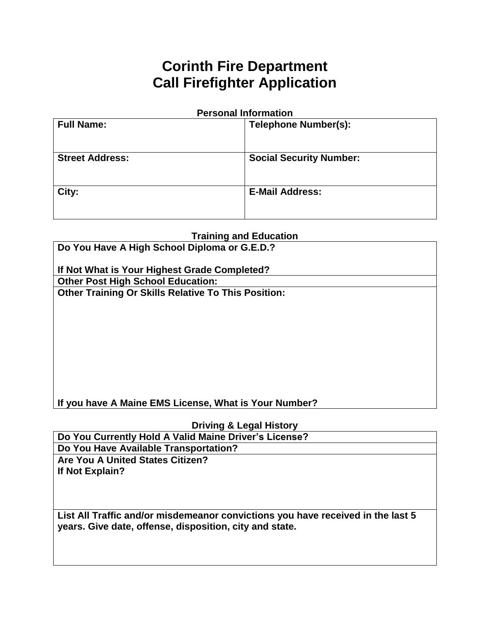# **Corinth Fire Department Call Firefighter Application**

#### **Personal Information**

| <b>Full Name:</b>      | <b>Telephone Number(s):</b>    |
|------------------------|--------------------------------|
| <b>Street Address:</b> | <b>Social Security Number:</b> |
| City:                  | <b>E-Mail Address:</b>         |

## **Training and Education**

| Do You Have A High School Diploma or G.E.D.?               |  |  |
|------------------------------------------------------------|--|--|
| If Not What is Your Highest Grade Completed?               |  |  |
| <b>Other Post High School Education:</b>                   |  |  |
| <b>Other Training Or Skills Relative To This Position:</b> |  |  |
|                                                            |  |  |
|                                                            |  |  |
|                                                            |  |  |
|                                                            |  |  |
|                                                            |  |  |
|                                                            |  |  |
|                                                            |  |  |
|                                                            |  |  |
| If you have A Maine EMS License, What is Your Number?      |  |  |

## **Driving & Legal History**

**Do You Currently Hold A Valid Maine Driver's License? Do You Have Available Transportation? Are You A United States Citizen? If Not Explain?**

**List All Traffic and/or misdemeanor convictions you have received in the last 5 years. Give date, offense, disposition, city and state.**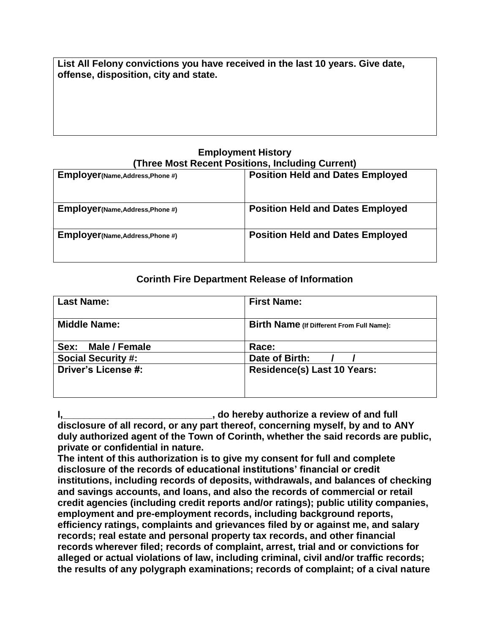**List All Felony convictions you have received in the last 10 years. Give date, offense, disposition, city and state.**

## **Employment History (Three Most Recent Positions, Including Current)**

| Employer(Name, Address, Phone #) | <b>Position Held and Dates Employed</b> |
|----------------------------------|-----------------------------------------|
| Employer(Name, Address, Phone #) | <b>Position Held and Dates Employed</b> |
| Employer(Name, Address, Phone #) | <b>Position Held and Dates Employed</b> |

## **Corinth Fire Department Release of Information**

| <b>Last Name:</b>         | <b>First Name:</b>                        |
|---------------------------|-------------------------------------------|
| <b>Middle Name:</b>       | Birth Name (If Different From Full Name): |
| Sex:<br>Male / Female     | Race:                                     |
| <b>Social Security #:</b> | Date of Birth:                            |
| Driver's License #:       | <b>Residence(s) Last 10 Years:</b>        |

**I,\_\_\_\_\_\_\_\_\_\_\_\_\_\_\_\_\_\_\_\_\_\_\_\_\_\_\_\_, do hereby authorize a review of and full disclosure of all record, or any part thereof, concerning myself, by and to ANY duly authorized agent of the Town of Corinth, whether the said records are public, private or confidential in nature.**

**The intent of this authorization is to give my consent for full and complete disclosure of the records of educational institutions' financial or credit institutions, including records of deposits, withdrawals, and balances of checking and savings accounts, and loans, and also the records of commercial or retail credit agencies (including credit reports and/or ratings); public utility companies, employment and pre-employment records, including background reports, efficiency ratings, complaints and grievances filed by or against me, and salary records; real estate and personal property tax records, and other financial records wherever filed; records of complaint, arrest, trial and or convictions for alleged or actual violations of law, including criminal, civil and/or traffic records; the results of any polygraph examinations; records of complaint; of a cival nature**